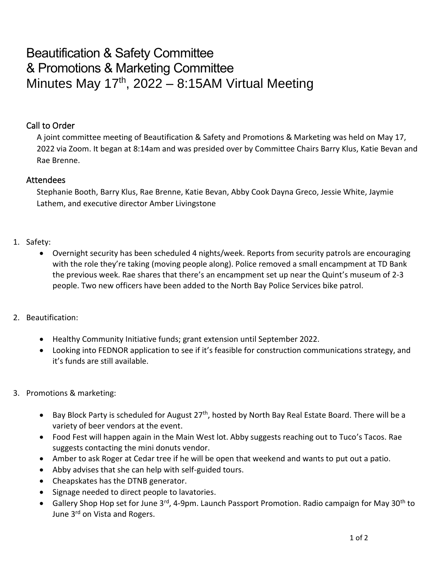## Beautification & Safety Committee & Promotions & Marketing Committee Minutes May  $17<sup>th</sup>$ , 2022 – 8:15AM Virtual Meeting

## Call to Order

A joint committee meeting of Beautification & Safety and Promotions & Marketing was held on May 17, 2022 via Zoom. It began at 8:14am and was presided over by Committee Chairs Barry Klus, Katie Bevan and Rae Brenne.

## Attendees

Stephanie Booth, Barry Klus, Rae Brenne, Katie Bevan, Abby Cook Dayna Greco, Jessie White, Jaymie Lathem, and executive director Amber Livingstone

## 1. Safety:

- Overnight security has been scheduled 4 nights/week. Reports from security patrols are encouraging with the role they're taking (moving people along). Police removed a small encampment at TD Bank the previous week. Rae shares that there's an encampment set up near the Quint's museum of 2-3 people. Two new officers have been added to the North Bay Police Services bike patrol.
- 2. Beautification:
	- Healthy Community Initiative funds; grant extension until September 2022.
	- Looking into FEDNOR application to see if it's feasible for construction communications strategy, and it's funds are still available.
- 3. Promotions & marketing:
	- Bay Block Party is scheduled for August  $27<sup>th</sup>$ , hosted by North Bay Real Estate Board. There will be a variety of beer vendors at the event.
	- Food Fest will happen again in the Main West lot. Abby suggests reaching out to Tuco's Tacos. Rae suggests contacting the mini donuts vendor.
	- Amber to ask Roger at Cedar tree if he will be open that weekend and wants to put out a patio.
	- Abby advises that she can help with self-guided tours.
	- Cheapskates has the DTNB generator.
	- Signage needed to direct people to lavatories.
	- Gallery Shop Hop set for June 3<sup>rd</sup>, 4-9pm. Launch Passport Promotion. Radio campaign for May 30<sup>th</sup> to June 3<sup>rd</sup> on Vista and Rogers.